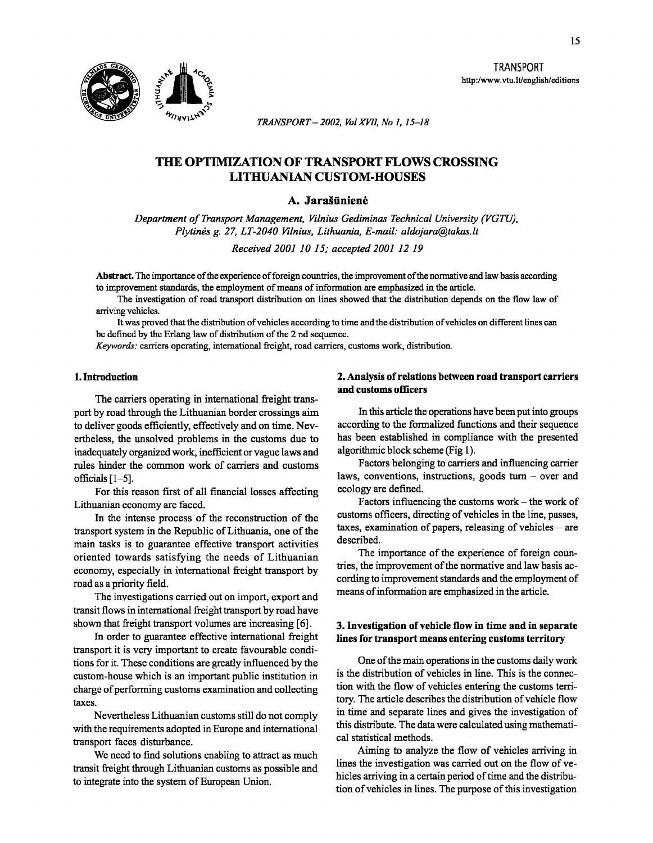

TRANSPORT http:/www.vtu.lt/english/editions

*TRANSPORT-2002, Vol XVII, No 1, 15-18* 

# THE OPTIMIZATION OF TRANSPORT FLOWS CROSSING LITHUANIAN CUSTOM-HOUSES

## A. Jarašūnienė

*Department of Transport Management, Vilnius Gediminas Technical University (VGTU), Plytines g. 27, LT-2040 Vilnius, Lithuania, E-mail: aldojara@takas.lt* 

*Received 2001 10 15; accepted 2001 12 19* 

Abstract. The importance of the experience of foreign countries, the improvement of the nonnative and law basis according to improvement standards, the employment of means of information are emphasized in the article.

The investigation of road transport distribution on lines showed that the distribution depends on the flow law of arriving vehicles.

It was proved that the distribution of vehicles according to time and the distribution of vehicles on different lines can be defined by the Erlang law of distribution of the 2nd sequence.

*Keywords:* carriers operating, international freight, road carriers, customs work, distribution.

## 1. Introduction

The carriers operating in international freight transport by road through the Lithuanian border crossings aim to deliver goods efficiently, effectively and on time. Nevertheless, the unsolved problems in the customs due to inadequately organized work, inefficient or vague laws and rules hinder the common work of carriers and customs officials [ 1-5].

For this reason first of all financial losses affecting Lithuanian economy are faced.

In the intense process of the reconstruction of the transport system in the Republic of Lithuania, one of the main tasks is to guarantee effective transport activities oriented towards satisfying the needs of Lithuanian economy, especially in international freight transport by road as a priority field.

The investigations carried out on import, export and transit flows in international freight transport by road have shown that freight transport volumes are increasing [6].

In order to guarantee effective international freight transport it is very important to create favourable conditions for it. These conditions are greatly influenced by the custom-house which is an important public institution in charge of performing customs examination and collecting taxes.

Nevertheless Lithuanian customs still do not comply with the requirements adopted in Europe and international transport faces disturbance.

We need to find solutions enabling to attract as much transit freight through Lithuanian customs as possible and to integrate into the system of European Union.

## 2. Analysis of relations between road transport carriers and customs officers

In this article the operations have been put into groups according to the formalized functions and their sequence has been established in compliance with the presented algorithmic block scheme (Fig 1).

Factors belonging to carriers and influencing carrier laws, conventions, instructions, goods turn - over and ecology are deftned.

Factors influencing the customs work- the work of customs officers, directing of vehicles in the line, passes, taxes, examination of papers, releasing of vehicles  $-$  are described.

The importance of the experience of foreign countries, the improvement of the normative and law basis according to improvement standards and the employment of means of information are emphasized in the article.

#### 3. Investigation of vehicle flow in time and in separate lines for transport means entering customs territory

One of the main operations in the customs daily work is the distribution of vehicles in line. This is the connection with the flow of vehicles entering the customs territory. The article describes the distribution of vehicle flow in time and separate lines and gives the investigation of this distribute. The data were calculated using mathematical statistical methods.

Aiming to analyze the flow of vehicles arriving in lines the investigation was carried out on the flow of vehicles arriving in a certain period of time and the distribution of vehicles in lines. The purpose of this investigation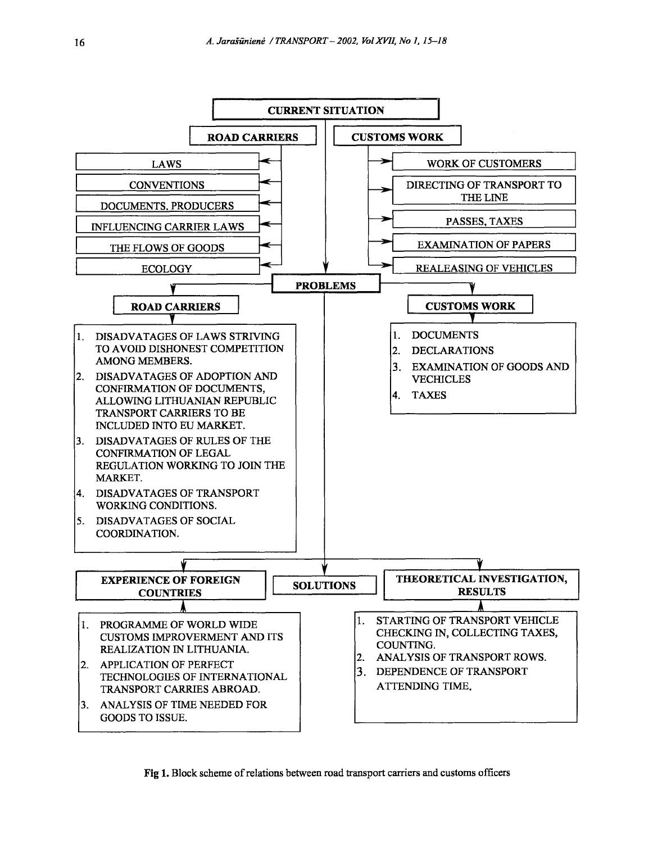

Fig 1. Block scheme of relations between road transport carriers and customs officers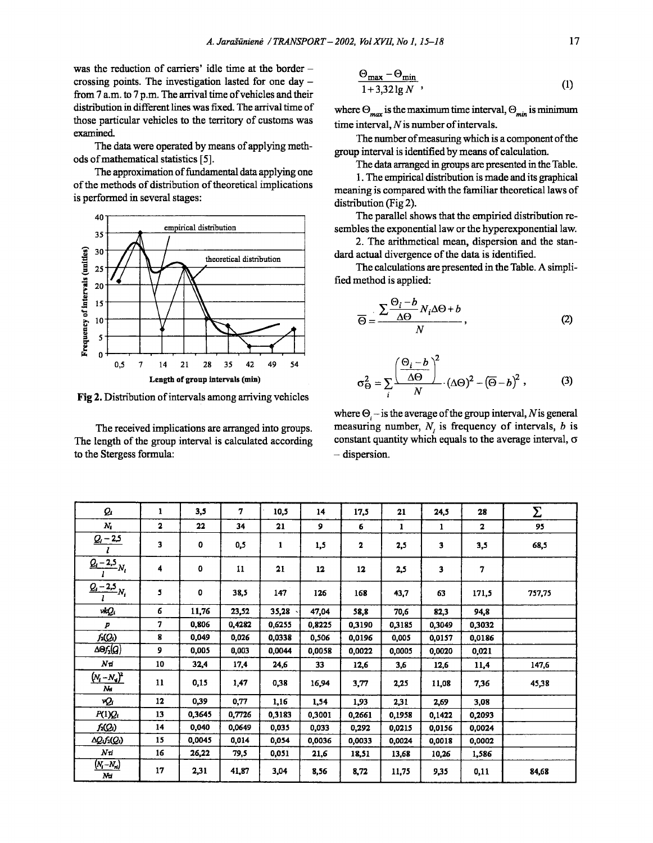was the reduction of carriers' idle time at the border crossing points. The investigation lasted for one day  $$ from 7 a.m. to 7 p.m. The arrival time of vehicles and their distribution in different lines was fixed. The arrival time of those particular vehicles to the territory of customs was examined.

The data were operated by means of applying methods of mathematical statistics [5].

The approximation of fundamental data applying one of the methods of distribution of theoretical implications is performed in several stages:



Fig 2. Distribution of intervals among arriving vehicles

The received implications are arranged into groups. The length of the group interval is calculated according to the Stergess formula:

$$
\frac{\Theta_{\max} - \Theta_{\min}}{1 + 3.32 \lg N}, \tag{1}
$$

where  $\Theta_{max}$  is the maximum time interval,  $\Theta_{min}$  is minimum time interval,  $N$  is number of intervals.

The number of measuring which is a component of the group interval is identified by means of calculation.

The data arranged in groups are presented in the Table.

1. The empirical distribution is made and its graphical meaning is compared with the familiar theoretical laws of distribution (Fig 2).

The parallel shows that the empiried distribution resembles the exponential law or the hyperexponential law.

2. The arithmetical mean, dispersion and the standard actual divergence of the data is identified.

The calculations are presented in the Table. A simplified method is applied:

$$
\overline{\Theta} = \frac{\sum \frac{\Theta_i - b}{\Delta \Theta} N_i \Delta \Theta + b}{N}, \tag{2}
$$

$$
\sigma_{\Theta}^2 = \sum_{i} \frac{\left(\frac{\Theta_i - b}{\Delta \Theta}\right)^2}{N} \cdot (\Delta \Theta)^2 - (\overline{\Theta} - b)^2, \qquad (3)
$$

where  $\Theta$  – is the average of the group interval, N is general measuring number,  $N_i$  is frequency of intervals,  $b$  is constant quantity which equals to the average interval,  $\sigma$  $-$  dispersion.

| Q,                                      | 1            | 3,5         | 7      | 10,5   | 14     | 17,5         | 21     | 24,5   | 28     | Σ      |
|-----------------------------------------|--------------|-------------|--------|--------|--------|--------------|--------|--------|--------|--------|
| $N_{\rm L}$                             | $\mathbf{2}$ | 22          | 34     | 21     | 9      | 6            | 1      | 1      | 2      | 95     |
| $\frac{Q_i - 2.5}{l}$                   | 3            | $\mathbf 0$ | 0,5    | 1      | 1,5    | $\mathbf{z}$ | 2,5    | 3      | 3,5    | 68,5   |
| $\frac{Q_i-2.5}{l}N_i$                  | 4            | 0           | 11     | 21     | 12     | 12           | 2,5    | 3      | 7      |        |
| $Q - 2.5 N$                             | 5            | 0           | 38,5   | 147    | 126    | 168          | 43,7   | 63     | 171,5  | 757,75 |
| vkQi                                    | 6            | 11,76       | 23,52  | 35,28  | 47,04  | 58,8         | 70,6   | 82,3   | 94,8   |        |
| $\boldsymbol{p}$                        | 7            | 0,806       | 0,4282 | 0,6255 | 0,8225 | 0,3190       | 0.3185 | 0,3049 | 0,3032 |        |
| $f_2(Q_i)$                              | 8            | 0,049       | 0,026  | 0,0338 | 0,506  | 0,0196       | 0,005  | 0,0157 | 0,0186 |        |
| ΔΘ <i>Γ</i> 1(Q)                        | 9            | 0,005       | 0,003  | 0,0044 | 0,0058 | 0,0022       | 0,0005 | 0,0020 | 0,021  |        |
| $N_{\mathcal{I}}$                       | 10           | 32,4        | 17,4   | 24,6   | 33     | 12,6         | 3,6    | 12,6   | 11,4   | 147,6  |
| $(N_{i}-N_{d})^{2}$<br>$\boldsymbol{M}$ | 11           | 0,15        | 1,47   | 0,38   | 16,94  | 3,77         | 2,25   | 11,08  | 7,36   | 45,38  |
| νQι                                     | 12           | 0,39        | 0,77   | 1,16   | 1,54   | 1,93         | 2,31   | 2,69   | 3,08   |        |
| $P(1)Q_i$                               | 13           | 0,3645      | 0,7726 | 0,3183 | 0,3001 | 0,2661       | 0,1958 | 0,1422 | 0,2093 |        |
| f2(Q1)                                  | 14           | 0,040       | 0,0649 | 0,035  | 0,033  | 0,292        | 0,0215 | 0,0156 | 0,0024 |        |
| AQ.f2(Q1)                               | 15           | 0,0045      | 0,014  | 0,054  | 0,0036 | 0,0033       | 0,0024 | 0,0018 | 0,0002 |        |
| $N\tau$                                 | 16           | 26,22       | 79.5   | 0,051  | 21,6   | 18,51        | 13,68  | 10,26  | 1,586  |        |
| $(N_i-N_{ri})$<br>Nu                    | 17           | 2,31        | 41,87  | 3,04   | 8,56   | 8,72         | 11,75  | 9,35   | 0,11   | 84,68  |